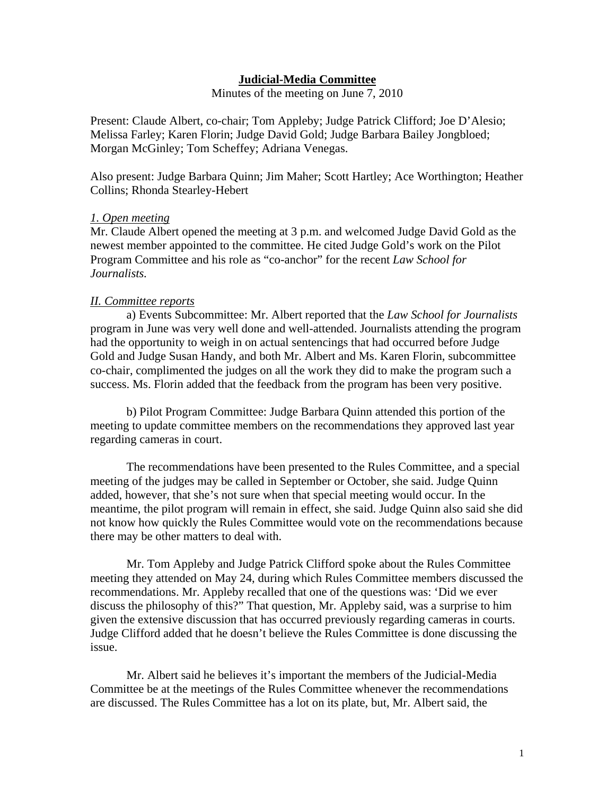### **Judicial-Media Committee**

Minutes of the meeting on June 7, 2010

Present: Claude Albert, co-chair; Tom Appleby; Judge Patrick Clifford; Joe D'Alesio; Melissa Farley; Karen Florin; Judge David Gold; Judge Barbara Bailey Jongbloed; Morgan McGinley; Tom Scheffey; Adriana Venegas.

Also present: Judge Barbara Quinn; Jim Maher; Scott Hartley; Ace Worthington; Heather Collins; Rhonda Stearley-Hebert

### *1. Open meeting*

Mr. Claude Albert opened the meeting at 3 p.m. and welcomed Judge David Gold as the newest member appointed to the committee. He cited Judge Gold's work on the Pilot Program Committee and his role as "co-anchor" for the recent *Law School for Journalists.* 

### *II. Committee reports*

 a) Events Subcommittee: Mr. Albert reported that the *Law School for Journalists*  program in June was very well done and well-attended. Journalists attending the program had the opportunity to weigh in on actual sentencings that had occurred before Judge Gold and Judge Susan Handy, and both Mr. Albert and Ms. Karen Florin, subcommittee co-chair, complimented the judges on all the work they did to make the program such a success. Ms. Florin added that the feedback from the program has been very positive.

 b) Pilot Program Committee: Judge Barbara Quinn attended this portion of the meeting to update committee members on the recommendations they approved last year regarding cameras in court.

 The recommendations have been presented to the Rules Committee, and a special meeting of the judges may be called in September or October, she said. Judge Quinn added, however, that she's not sure when that special meeting would occur. In the meantime, the pilot program will remain in effect, she said. Judge Quinn also said she did not know how quickly the Rules Committee would vote on the recommendations because there may be other matters to deal with.

 Mr. Tom Appleby and Judge Patrick Clifford spoke about the Rules Committee meeting they attended on May 24, during which Rules Committee members discussed the recommendations. Mr. Appleby recalled that one of the questions was: 'Did we ever discuss the philosophy of this?" That question, Mr. Appleby said, was a surprise to him given the extensive discussion that has occurred previously regarding cameras in courts. Judge Clifford added that he doesn't believe the Rules Committee is done discussing the issue.

 Mr. Albert said he believes it's important the members of the Judicial-Media Committee be at the meetings of the Rules Committee whenever the recommendations are discussed. The Rules Committee has a lot on its plate, but, Mr. Albert said, the